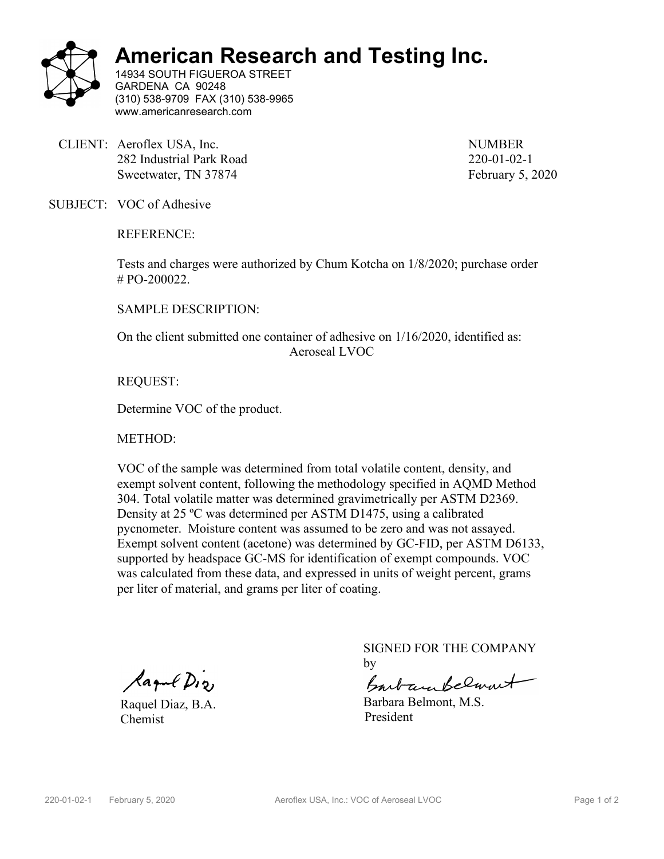

## **American Research and Testing Inc.**

14934 SOUTH FIGUEROA STREET GARDENA CA 90248 (310) 538-9709 FAX (310) 538-9965 www.americanresearch.com

CLIENT: Aeroflex USA, Inc. NUMBER 282 Industrial Park Road 220-01-02-1 Sweetwater, TN 37874 February 5, 2020

SUBJECT: VOC of Adhesive

REFERENCE:

Tests and charges were authorized by Chum Kotcha on 1/8/2020; purchase order # PO-200022.

SAMPLE DESCRIPTION:

On the client submitted one container of adhesive on 1/16/2020, identified as: Aeroseal LVOC

REQUEST:

Determine VOC of the product.

METHOD:

VOC of the sample was determined from total volatile content, density, and exempt solvent content, following the methodology specified in AQMD Method 304. Total volatile matter was determined gravimetrically per ASTM D2369. Density at 25 ºC was determined per ASTM D1475, using a calibrated pycnometer. Moisture content was assumed to be zero and was not assayed. Exempt solvent content (acetone) was determined by GC-FID, per ASTM D6133, supported by headspace GC-MS for identification of exempt compounds. VOC was calculated from these data, and expressed in units of weight percent, grams per liter of material, and grams per liter of coating.

lagul Dig

Raquel Diaz, B.A. Chemist

SIGNED FOR THE COMPANY by

Barbara Belanut

Barbara Belmont, M.S. President